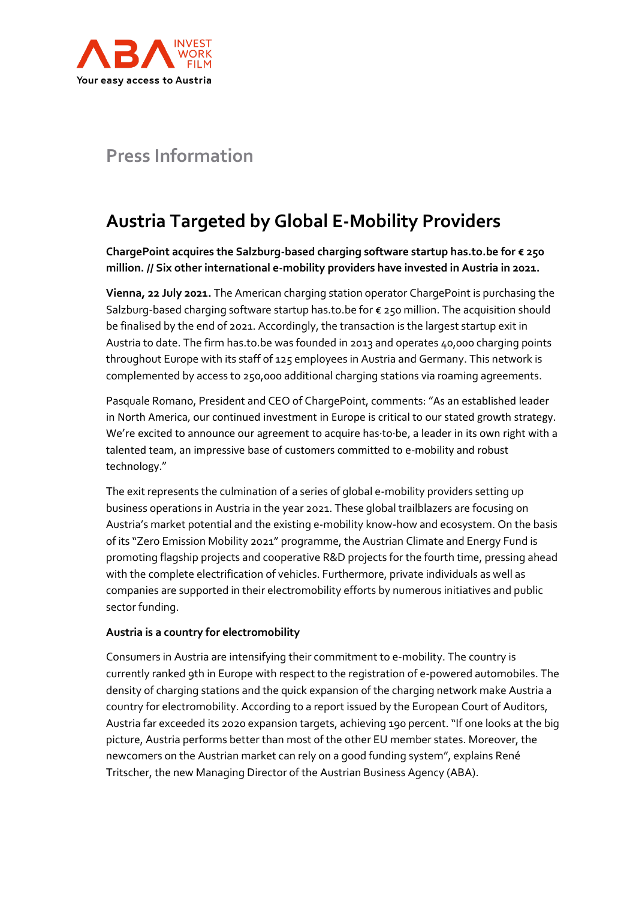

## **Press Information**

# **Austria Targeted by Global E-Mobility Providers**

**ChargePoint acquires the Salzburg-based charging software startup has.to.be for € 250 million. // Six other international e-mobility providers have invested in Austria in 2021.** 

**Vienna, 22 July 2021.** The American charging station operator ChargePoint is purchasing the Salzburg-based charging software startup has.to.be for € 250 million. The acquisition should be finalised by the end of 2021. Accordingly, the transaction is the largest startup exit in Austria to date. The firm has.to.be was founded in 2013 and operates 40,000 charging points throughout Europe with its staff of 125 employees in Austria and Germany. This network is complemented by access to 250,000 additional charging stations via roaming agreements.

Pasquale Romano, President and CEO of ChargePoint, comments: "As an established leader in North America, our continued investment in Europe is critical to our stated growth strategy. We're excited to announce our agreement to acquire has·to·be, a leader in its own right with a talented team, an impressive base of customers committed to e-mobility and robust technology."

The exit represents the culmination of a series of global e-mobility providers setting up business operations in Austria in the year 2021. These global trailblazers are focusing on Austria's market potential and the existing e-mobility know-how and ecosystem. On the basis of its "Zero Emission Mobility 2021" programme, the Austrian Climate and Energy Fund is promoting flagship projects and cooperative R&D projects for the fourth time, pressing ahead with the complete electrification of vehicles. Furthermore, private individuals as well as companies are supported in their electromobility efforts by numerous initiatives and public sector funding.

## **Austria is a country for electromobility**

Consumers in Austria are intensifying their commitment to e-mobility. The country is currently ranked 9th in Europe with respect to the registration of e-powered automobiles. The density of charging stations and the quick expansion of the charging network make Austria a country for electromobility. According to a report issued by the European Court of Auditors, Austria far exceeded its 2020 expansion targets, achieving 190 percent. "If one looks at the big picture, Austria performs better than most of the other EU member states. Moreover, the newcomers on the Austrian market can rely on a good funding system", explains René Tritscher, the new Managing Director of the Austrian Business Agency (ABA).